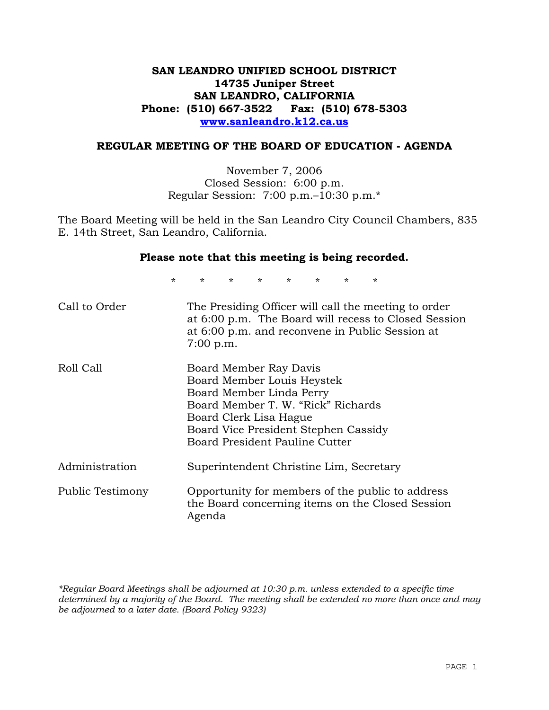# **SAN LEANDRO UNIFIED SCHOOL DISTRICT 14735 Juniper Street SAN LEANDRO, CALIFORNIA Phone: (510) 667-3522 Fax: (510) 678-5303 www.sanleandro.k12.ca.us**

## **REGULAR MEETING OF THE BOARD OF EDUCATION - AGENDA**

November 7, 2006 Closed Session: 6:00 p.m. Regular Session: 7:00 p.m.–10:30 p.m.\*

The Board Meeting will be held in the San Leandro City Council Chambers, 835 E. 14th Street, San Leandro, California.

#### **Please note that this meeting is being recorded.**

\* \* \* \* \* \* \* \*

| Call to Order    | The Presiding Officer will call the meeting to order<br>at 6:00 p.m. The Board will recess to Closed Session<br>at 6:00 p.m. and reconvene in Public Session at<br>$7:00$ p.m.                                             |
|------------------|----------------------------------------------------------------------------------------------------------------------------------------------------------------------------------------------------------------------------|
| Roll Call        | Board Member Ray Davis<br>Board Member Louis Heystek<br>Board Member Linda Perry<br>Board Member T. W. "Rick" Richards<br>Board Clerk Lisa Hague<br>Board Vice President Stephen Cassidy<br>Board President Pauline Cutter |
| Administration   | Superintendent Christine Lim, Secretary                                                                                                                                                                                    |
| Public Testimony | Opportunity for members of the public to address<br>the Board concerning items on the Closed Session<br>Agenda                                                                                                             |

*\*Regular Board Meetings shall be adjourned at 10:30 p.m. unless extended to a specific time determined by a majority of the Board. The meeting shall be extended no more than once and may be adjourned to a later date. (Board Policy 9323)*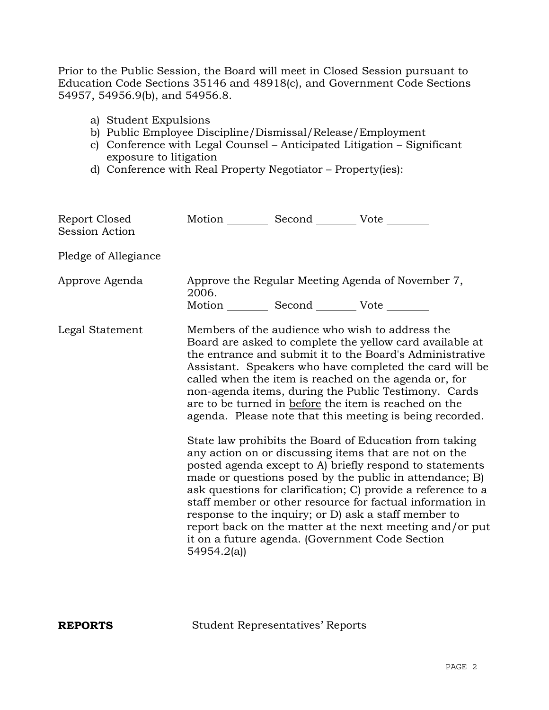Prior to the Public Session, the Board will meet in Closed Session pursuant to Education Code Sections 35146 and 48918(c), and Government Code Sections 54957, 54956.9(b), and 54956.8.

- a) Student Expulsions
- b) Public Employee Discipline/Dismissal/Release/Employment
- c) Conference with Legal Counsel Anticipated Litigation Significant exposure to litigation
- d) Conference with Real Property Negotiator Property(ies):

| Report Closed<br><b>Session Action</b> | Motion __________ Second __________ Vote ________              |                                                                                                                                                                                                                                                                                                                                                                                                                                                                                                                                                                                                                                                                                                                                                                                                                                                                                                                                                                                                                        |
|----------------------------------------|----------------------------------------------------------------|------------------------------------------------------------------------------------------------------------------------------------------------------------------------------------------------------------------------------------------------------------------------------------------------------------------------------------------------------------------------------------------------------------------------------------------------------------------------------------------------------------------------------------------------------------------------------------------------------------------------------------------------------------------------------------------------------------------------------------------------------------------------------------------------------------------------------------------------------------------------------------------------------------------------------------------------------------------------------------------------------------------------|
| Pledge of Allegiance                   |                                                                |                                                                                                                                                                                                                                                                                                                                                                                                                                                                                                                                                                                                                                                                                                                                                                                                                                                                                                                                                                                                                        |
| Approve Agenda                         | 2006.<br>Motion ___________ Second ____________ Vote _________ | Approve the Regular Meeting Agenda of November 7,                                                                                                                                                                                                                                                                                                                                                                                                                                                                                                                                                                                                                                                                                                                                                                                                                                                                                                                                                                      |
| Legal Statement                        | 54954.2(a)                                                     | Members of the audience who wish to address the<br>Board are asked to complete the yellow card available at<br>the entrance and submit it to the Board's Administrative<br>Assistant. Speakers who have completed the card will be<br>called when the item is reached on the agenda or, for<br>non-agenda items, during the Public Testimony. Cards<br>are to be turned in before the item is reached on the<br>agenda. Please note that this meeting is being recorded.<br>State law prohibits the Board of Education from taking<br>any action on or discussing items that are not on the<br>posted agenda except to A) briefly respond to statements<br>made or questions posed by the public in attendance; B)<br>ask questions for clarification; C) provide a reference to a<br>staff member or other resource for factual information in<br>response to the inquiry; or D) ask a staff member to<br>report back on the matter at the next meeting and/or put<br>it on a future agenda. (Government Code Section |

**REPORTS** Student Representatives' Reports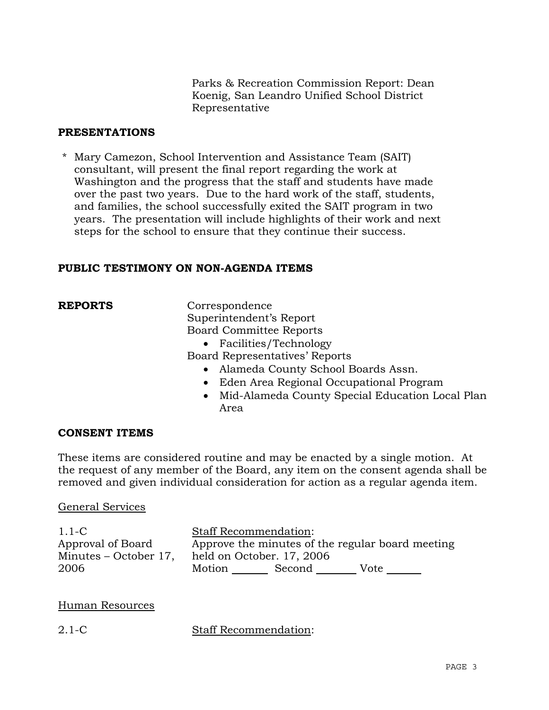Parks & Recreation Commission Report: Dean Koenig, San Leandro Unified School District Representative

# **PRESENTATIONS**

\* Mary Camezon, School Intervention and Assistance Team (SAIT) consultant, will present the final report regarding the work at Washington and the progress that the staff and students have made over the past two years. Due to the hard work of the staff, students, and families, the school successfully exited the SAIT program in two years. The presentation will include highlights of their work and next steps for the school to ensure that they continue their success.

# **PUBLIC TESTIMONY ON NON-AGENDA ITEMS**

**REPORTS** Correspondence Superintendent's Report Board Committee Reports

• Facilities/Technology

Board Representatives' Reports

- Alameda County School Boards Assn.
- Eden Area Regional Occupational Program
- Mid-Alameda County Special Education Local Plan Area

## **CONSENT ITEMS**

These items are considered routine and may be enacted by a single motion. At the request of any member of the Board, any item on the consent agenda shall be removed and given individual consideration for action as a regular agenda item.

#### General Services

1.1-C Approval of Board Minutes – October 17, 2006 Staff Recommendation: Approve the minutes of the regular board meeting held on October. 17, 2006 Motion Second Vote

## Human Resources

2.1-C Staff Recommendation: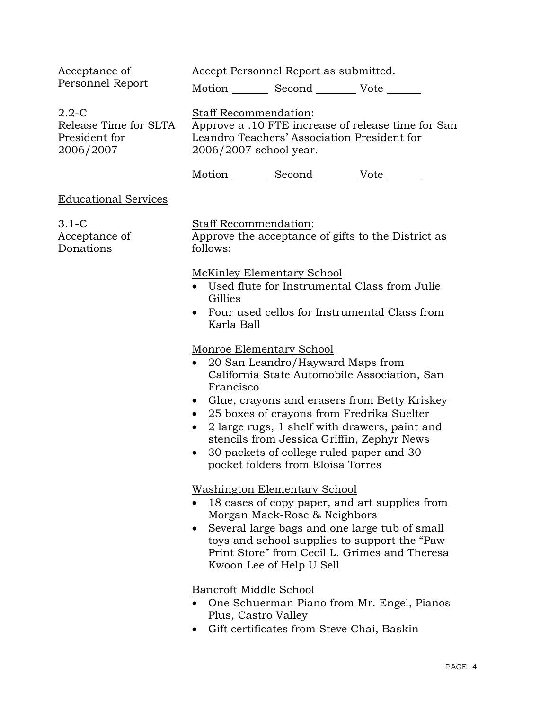| Acceptance of                                                    | Accept Personnel Report as submitted.                                                                                                                                                                                                                                                                                                                                                                                            |  |
|------------------------------------------------------------------|----------------------------------------------------------------------------------------------------------------------------------------------------------------------------------------------------------------------------------------------------------------------------------------------------------------------------------------------------------------------------------------------------------------------------------|--|
| Personnel Report                                                 | Motion _________ Second __________ Vote _______                                                                                                                                                                                                                                                                                                                                                                                  |  |
| $2.2 - C$<br>Release Time for SLTA<br>President for<br>2006/2007 | Staff Recommendation:<br>Approve a .10 FTE increase of release time for San<br>Leandro Teachers' Association President for<br>2006/2007 school year.                                                                                                                                                                                                                                                                             |  |
|                                                                  | Motion _________ Second __________ Vote _______                                                                                                                                                                                                                                                                                                                                                                                  |  |
| <b>Educational Services</b>                                      |                                                                                                                                                                                                                                                                                                                                                                                                                                  |  |
| $3.1-C$<br>Acceptance of<br>Donations                            | Staff Recommendation:<br>Approve the acceptance of gifts to the District as<br>follows:                                                                                                                                                                                                                                                                                                                                          |  |
|                                                                  | <b>McKinley Elementary School</b><br>Used flute for Instrumental Class from Julie<br>Gillies<br>Four used cellos for Instrumental Class from<br>Karla Ball                                                                                                                                                                                                                                                                       |  |
|                                                                  | Monroe Elementary School<br>20 San Leandro/Hayward Maps from<br>California State Automobile Association, San<br>Francisco<br>Glue, crayons and erasers from Betty Kriskey<br>$\bullet$<br>25 boxes of crayons from Fredrika Suelter<br>$\bullet$<br>2 large rugs, 1 shelf with drawers, paint and<br>stencils from Jessica Griffin, Zephyr News<br>30 packets of college ruled paper and 30<br>pocket folders from Eloisa Torres |  |
|                                                                  | <b>Washington Elementary School</b><br>18 cases of copy paper, and art supplies from<br>Morgan Mack-Rose & Neighbors<br>Several large bags and one large tub of small<br>toys and school supplies to support the "Paw<br>Print Store" from Cecil L. Grimes and Theresa<br>Kwoon Lee of Help U Sell                                                                                                                               |  |
|                                                                  | Bancroft Middle School<br>One Schuerman Piano from Mr. Engel, Pianos<br>Plus, Castro Valley<br>Gift certificates from Steve Chai, Baskin                                                                                                                                                                                                                                                                                         |  |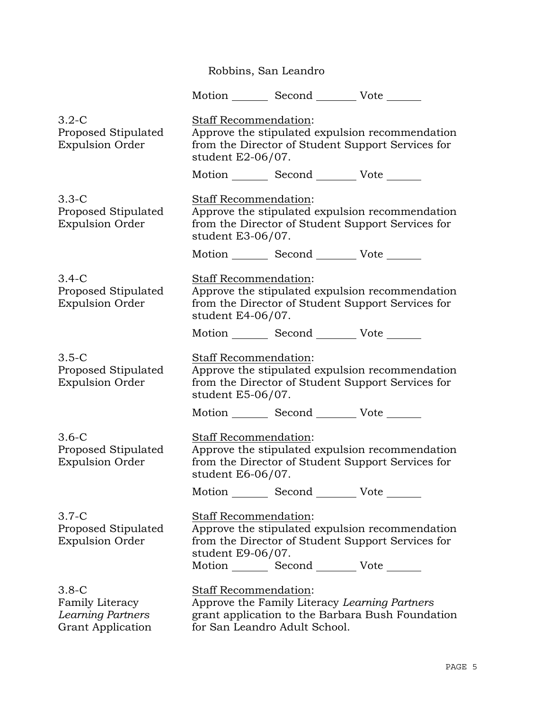Robbins, San Leandro

Motion Second Vote

3.2-C Proposed Stipulated Expulsion Order Staff Recommendation: Approve the stipulated expulsion recommendation from the Director of Student Support Services for student E2-06/07. Motion Second Vote 3.3-C Proposed Stipulated Expulsion Order Staff Recommendation: Approve the stipulated expulsion recommendation from the Director of Student Support Services for student E3-06/07. Motion Second Vote 3.4-C Proposed Stipulated Expulsion Order Staff Recommendation: Approve the stipulated expulsion recommendation from the Director of Student Support Services for student E4-06/07. Motion Second Vote \_\_\_\_\_\_ 3.5-C Proposed Stipulated Expulsion Order Staff Recommendation: Approve the stipulated expulsion recommendation from the Director of Student Support Services for student E5-06/07. Motion Second Vote 3.6-C Proposed Stipulated Expulsion Order Staff Recommendation: Approve the stipulated expulsion recommendation from the Director of Student Support Services for student E6-06/07. Motion Second Vote 3.7-C Proposed Stipulated Expulsion Order Staff Recommendation: Approve the stipulated expulsion recommendation from the Director of Student Support Services for student E9-06/07. Motion Second Vote \_\_\_\_\_\_ 3.8-C Family Literacy *Learning Partners* Grant Application Staff Recommendation: Approve the Family Literacy *Learning Partners* grant application to the Barbara Bush Foundation for San Leandro Adult School.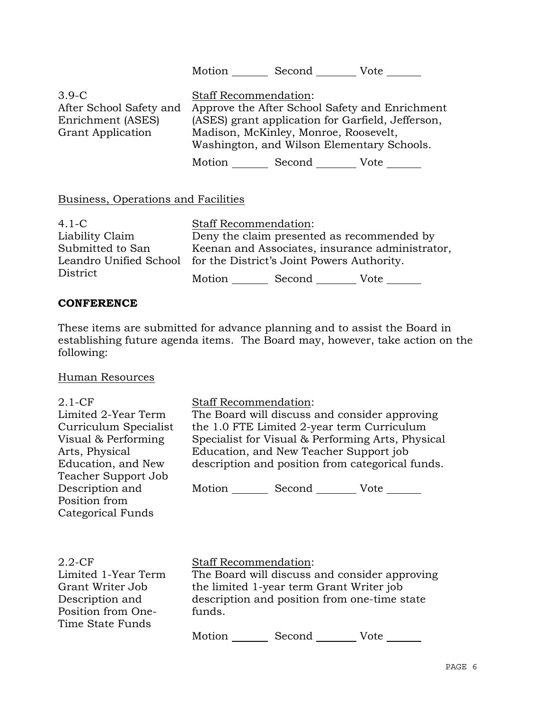|                                                                                     |                                                 |                                       | Motion _______ Second _________ Vote _______                                                                                                      |
|-------------------------------------------------------------------------------------|-------------------------------------------------|---------------------------------------|---------------------------------------------------------------------------------------------------------------------------------------------------|
| $3.9-C$<br>After School Safety and<br>Enrichment (ASES)<br><b>Grant Application</b> | Staff Recommendation:                           | Madison, McKinley, Monroe, Roosevelt, | Approve the After School Safety and Enrichment<br>(ASES) grant application for Garfield, Jefferson,<br>Washington, and Wilson Elementary Schools. |
|                                                                                     |                                                 |                                       | Motion Second Vote                                                                                                                                |
| Business, Operations and Facilities                                                 |                                                 |                                       |                                                                                                                                                   |
| $4.1 - C$                                                                           | <b>Staff Recommendation:</b>                    |                                       |                                                                                                                                                   |
| Liability Claim                                                                     |                                                 |                                       | Deny the claim presented as recommended by                                                                                                        |
| Submitted to San                                                                    | Keenan and Associates, insurance administrator, |                                       |                                                                                                                                                   |
| Leandro Unified School for the District's Joint Powers Authority.                   |                                                 |                                       |                                                                                                                                                   |

## **CONFERENCE**

District

These items are submitted for advance planning and to assist the Board in establishing future agenda items. The Board may, however, take action on the following:

Motion \_\_\_\_\_\_\_\_ Second \_\_\_\_\_\_\_\_\_ Vote \_\_\_\_\_\_\_

# Human Resources

| $2.1-CF$<br>Limited 2-Year Term<br>Curriculum Specialist<br>Visual & Performing<br>Arts, Physical<br>Education, and New<br>Teacher Support Job<br>Description and<br>Position from<br>Categorical Funds | Staff Recommendation:<br>The Board will discuss and consider approving<br>the 1.0 FTE Limited 2-year term Curriculum<br>Specialist for Visual & Performing Arts, Physical<br>Education, and New Teacher Support job<br>description and position from categorical funds.<br>Motion _________ Second __________ Vote _______ |
|---------------------------------------------------------------------------------------------------------------------------------------------------------------------------------------------------------|----------------------------------------------------------------------------------------------------------------------------------------------------------------------------------------------------------------------------------------------------------------------------------------------------------------------------|
| $2.2$ -CF<br>Limited 1-Year Term<br>Grant Writer Job<br>Description and<br>Position from One-<br>Time State Funds                                                                                       | <b>Staff Recommendation:</b><br>The Board will discuss and consider approving<br>the limited 1-year term Grant Writer job<br>description and position from one-time state<br>funds.                                                                                                                                        |

Motion Second Vote \_\_\_\_\_\_\_